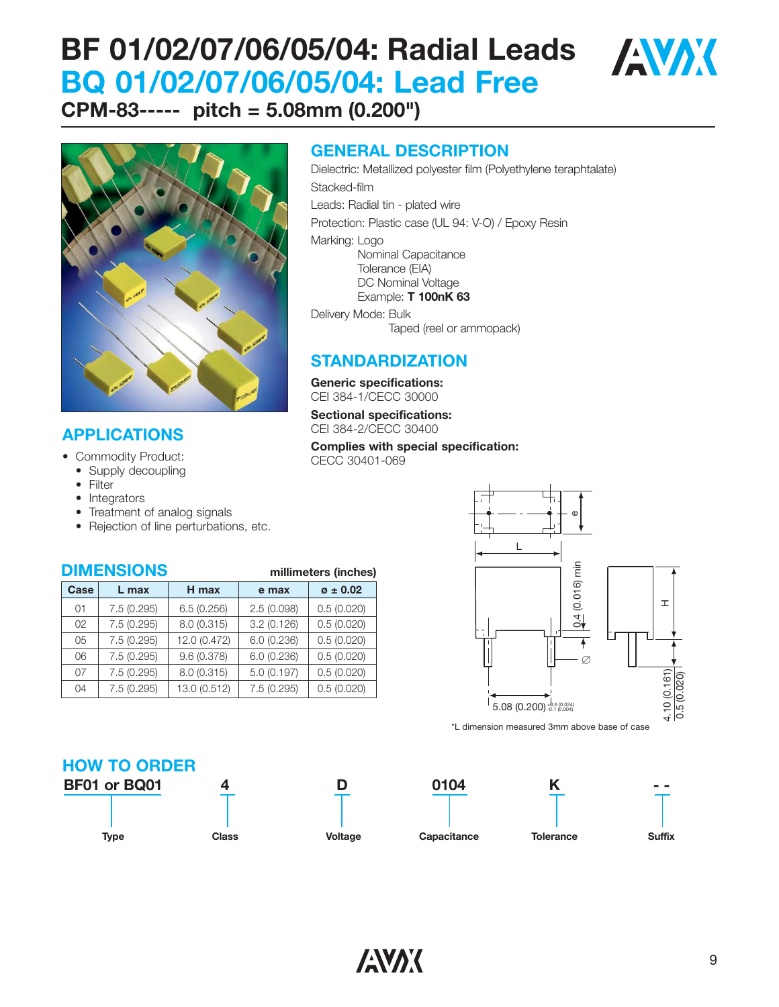# **BF 01/02/07/06/05/04: Radial Leads / AVAX BQ 01/02/07/06/05/04: Lead Free**



**CPM-83----- pitch = 5.08mm (0.200")**



#### **APPLICATIONS**

- Commodity Product:
	- Supply decoupling
	- Filter
	- Integrators
	- Treatment of analog signals
	- Rejection of line perturbations, etc.

#### **DIMENSIONS millimeters (inches)**

| Case | L max       | H max        | e max       | $\sigma = 0.02$ |
|------|-------------|--------------|-------------|-----------------|
| 01   | 7.5(0.295)  | 6.5(0.256)   | 2.5(0.098)  | 0.5(0.020)      |
| 02   | 7.5(0.295)  | 8.0 (0.315)  | 3.2(0.126)  | 0.5(0.020)      |
| 05   | 7.5(0.295)  | 12.0 (0.472) | 6.0(0.236)  | 0.5(0.020)      |
| 06   | 7.5 (0.295) | 9.6 (0.378)  | 6.0(0.236)  | 0.5(0.020)      |
| 07   | 7.5(0.295)  | 8.0 (0.315)  | 5.0(0.197)  | 0.5(0.020)      |
| 04   | 7.5 (0.295) | 13.0 (0.512) | 7.5 (0.295) | 0.5(0.020)      |

#### **GENERAL DESCRIPTION**

Dielectric: Metallized polyester film (Polyethylene teraphtalate) Stacked-film

Leads: Radial tin - plated wire

Protection: Plastic case (UL 94: V-O) / Epoxy Resin

Marking: Logo

Nominal Capacitance Tolerance (EIA) DC Nominal Voltage Example: **T 100nK 63**

Delivery Mode: Bulk Taped (reel or ammopack)

#### **STANDARDIZATION**

**Generic specifications:** CEI 384-1/CECC 30000

**Sectional specifications:** CEI 384-2/CECC 30400

**Complies with special specification:** CECC 30401-069



\*L dimension measured 3mm above base of case

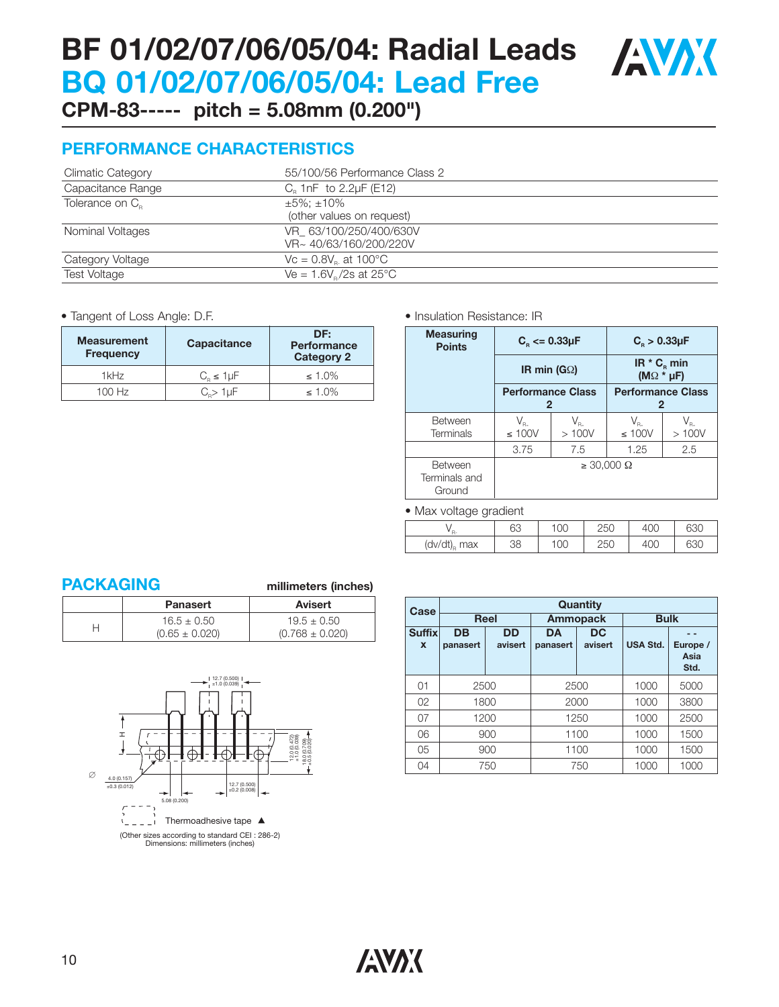## **BF 01/02/07/06/05/04: Radial Leads / WAX BQ 01/02/07/06/05/04: Lead Free**



**CPM-83----- pitch = 5.08mm (0.200")**

### **PERFORMANCE CHARACTERISTICS**

| <b>Climatic Category</b>    | 55/100/56 Performance Class 2                       |
|-----------------------------|-----------------------------------------------------|
| Capacitance Range           | $C_{\rm R}$ 1nF to 2.2µF (E12)                      |
| Tolerance on C <sub>p</sub> | $\pm 5\%$ : $\pm 10\%$<br>(other values on request) |
| Nominal Voltages            | VR_63/100/250/400/630V<br>VR~40/63/160/200/220V     |
| Category Voltage            | $Vc = 0.8V_{\rm e}$ at 100°C                        |
| <b>Test Voltage</b>         | $Ve = 1.6V_{\rm e}/2s$ at $25^{\circ}C$             |

• Tangent of Loss Angle: D.F.

| <b>Measurement</b><br><b>Frequency</b> | <b>Capacitance</b>       | DF:<br><b>Performance</b><br><b>Category 2</b> |  |
|----------------------------------------|--------------------------|------------------------------------------------|--|
| 1kHz                                   | $C_{\rm o} \leq 1 \mu F$ | $\leq 1.0\%$                                   |  |
| 100 Hz                                 | $C \geq 1$ uF            | $\leq 1.0\%$                                   |  |

• Insulation Resistance: IR

| <b>Measuring</b><br><b>Points</b>         | $C_{\rm o}$ <= 0.33 $\mu$ F   |                                                                                            | $C_{\rm o} > 0.33 \mu F$                                               |                      |  |
|-------------------------------------------|-------------------------------|--------------------------------------------------------------------------------------------|------------------------------------------------------------------------|----------------------|--|
|                                           | IR min ( $G\Omega$ )          |                                                                                            | $IR * Cn min$<br>$(M\Omega * \mu F)$                                   |                      |  |
|                                           | <b>Performance Class</b><br>2 |                                                                                            | <b>Performance Class</b><br>$\mathbf{2}$                               |                      |  |
| <b>Between</b><br>Terminals               | $\leq 100V$                   | $\mathsf{V}_{\scriptscriptstyle{\mathsf{R}}\raisebox{0.3mm}{\text{-}}\mathsf{L}}$<br>>100V | $\mathsf{V}_{\scriptscriptstyle{\mathsf{R}}\mathsf{L}}$<br>$\leq 100V$ | $V_{R_{-}}$<br>>100V |  |
|                                           | 3.75                          | 7.5                                                                                        | 1.25                                                                   | 2.5                  |  |
| <b>Between</b><br>Terminals and<br>Ground | $\geq 30,000 \Omega$          |                                                                                            |                                                                        |                      |  |

• Max voltage gradient

| $\mathbf{v}_{R-}$ | 63 | 00 | 250 | 400 | 63C |
|-------------------|----|----|-----|-----|-----|
| $(dv/dt)B$ max    | 38 | 00 | 250 | 400 | 63C |

#### **PACKAGING millimeters (inches)**

| <b>Panasert</b>                       | <b>Avisert</b>                         |
|---------------------------------------|----------------------------------------|
| $16.5 \pm 0.50$<br>$(0.65 \pm 0.020)$ | $19.5 \pm 0.50$<br>$(0.768 \pm 0.020)$ |



| Case             | Quantity               |         |           |           |                 |                          |  |
|------------------|------------------------|---------|-----------|-----------|-----------------|--------------------------|--|
|                  | <b>Reel</b>            |         | Ammopack  |           | <b>Bulk</b>     |                          |  |
| <b>Suffix</b>    | <b>DB</b><br><b>DD</b> |         | <b>DA</b> | <b>DC</b> |                 |                          |  |
| $\boldsymbol{x}$ | panasert               | avisert | panasert  | avisert   | <b>USA Std.</b> | Europe /<br>Asia<br>Std. |  |
| 01               | 2500                   |         | 2500      |           | 1000            | 5000                     |  |
| 02               | 1800                   |         | 2000      |           | 1000            | 3800                     |  |
| 07               | 1200                   |         | 1250      |           | 1000            | 2500                     |  |
| 06               | 900                    |         | 1100      |           | 1000            | 1500                     |  |
| 05               | 900                    |         | 1100      |           | 1000            | 1500                     |  |
| 04               | 750                    |         |           | 750       | 1000            | 1000                     |  |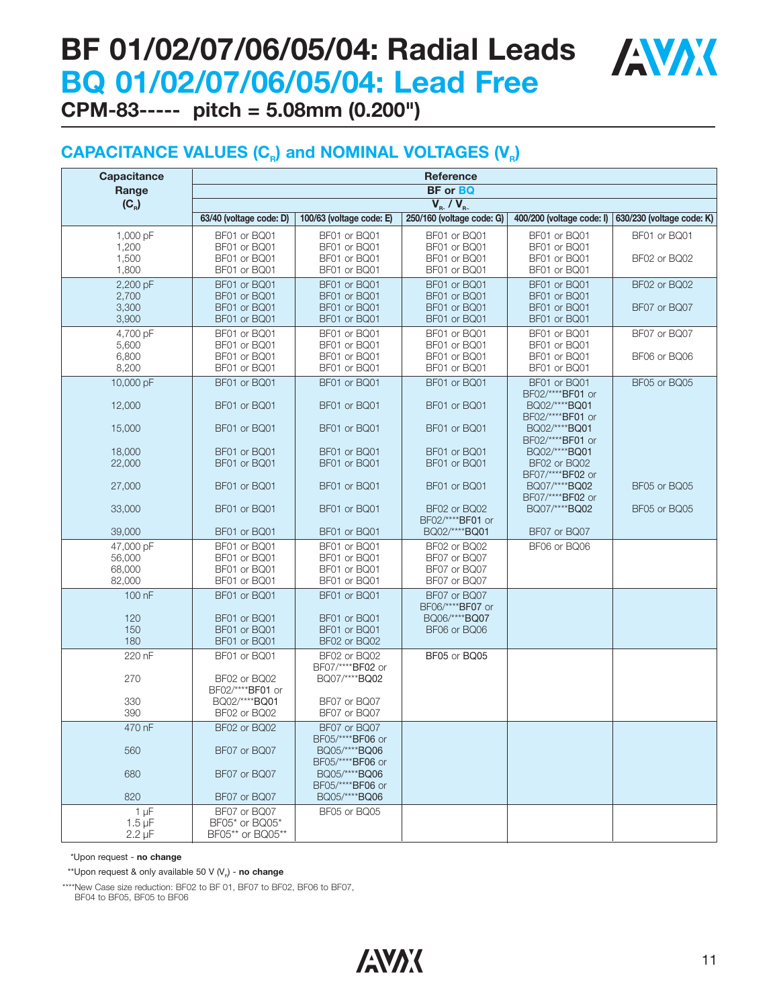## **BF 01/02/07/06/05/04: Radial Leads BQ 01/02/07/06/05/04: Lead Free**



**CPM-83----- pitch = 5.08mm (0.200")**

### CAPACITANCE VALUES (C<sub>B</sub>) and NOMINAL VOLTAGES (V<sub>B</sub>)

| <b>Capacitance</b>                    | Reference                      |                                   |                                   |                                   |                           |  |  |
|---------------------------------------|--------------------------------|-----------------------------------|-----------------------------------|-----------------------------------|---------------------------|--|--|
| Range                                 | <b>BF</b> or <b>BQ</b>         |                                   |                                   |                                   |                           |  |  |
| $(C_R)$                               |                                |                                   | $V_{\text{R}}$ , $/V_{\text{R}}$  |                                   |                           |  |  |
|                                       | 63/40 (voltage code: D)        | 100/63 (voltage code: E)          | 250/160 (voltage code: G)         | 400/200 (voltage code: I)         | 630/230 (voltage code: K) |  |  |
| 1,000 pF                              | BF01 or BQ01                   | BF01 or BQ01                      | BF01 or BQ01                      | BF01 or BQ01                      | BF01 or BQ01              |  |  |
| 1,200<br>1,500                        | BF01 or BQ01<br>BF01 or BQ01   | BF01 or BQ01<br>BF01 or BQ01      | BF01 or BQ01<br>BF01 or BQ01      | BF01 or BQ01<br>BF01 or BQ01      | BF02 or BQ02              |  |  |
| 1,800                                 | BF01 or BQ01                   | BF01 or BQ01                      | BF01 or BQ01                      | BF01 or BQ01                      |                           |  |  |
| 2,200 pF                              | BF01 or BQ01                   | BF01 or BQ01                      | BF01 or BQ01                      | BF01 or BQ01                      | BF02 or BQ02              |  |  |
| 2,700                                 | BF01 or BQ01                   | BF01 or BQ01                      | BF01 or BQ01                      | BF01 or BQ01                      |                           |  |  |
| 3,300<br>3,900                        | BF01 or BQ01<br>BF01 or BQ01   | BF01 or BQ01<br>BF01 or BQ01      | BF01 or BQ01<br>BF01 or BQ01      | BF01 or BQ01<br>BF01 or BQ01      | BF07 or BQ07              |  |  |
| 4,700 pF                              | BF01 or BQ01                   | BF01 or BQ01                      | BF01 or BQ01                      | BF01 or BQ01                      | BF07 or BQ07              |  |  |
| 5,600                                 | BF01 or BQ01                   | BF01 or BQ01                      | BF01 or BQ01                      | BF01 or BQ01                      |                           |  |  |
| 6,800                                 | BF01 or BQ01                   | BF01 or BQ01                      | BF01 or BQ01                      | BF01 or BQ01                      | BF06 or BQ06              |  |  |
| 8,200                                 | BF01 or BQ01                   | BF01 or BQ01                      | BF01 or BQ01                      | BF01 or BQ01                      |                           |  |  |
| 10,000 pF                             | BF01 or BQ01                   | BF01 or BQ01                      | BF01 or BQ01                      | BF01 or BQ01<br>BF02/****BF01 or  | BF05 or BQ05              |  |  |
| 12,000                                | BF01 or BQ01                   | BF01 or BQ01                      | BF01 or BQ01                      | BQ02/****BQ01                     |                           |  |  |
|                                       |                                |                                   |                                   | BF02/****BF01 or                  |                           |  |  |
| 15,000                                | BF01 or BQ01                   | BF01 or BQ01                      | BF01 or BQ01                      | BQ02/****BQ01<br>BF02/****BF01 or |                           |  |  |
| 18,000                                | BF01 or BQ01                   | BF01 or BQ01                      | BF01 or BQ01                      | BQ02/****BQ01                     |                           |  |  |
| 22,000                                | BF01 or BQ01                   | BF01 or BQ01                      | BF01 or BQ01                      | BF02 or BQ02                      |                           |  |  |
| 27,000                                | BF01 or BQ01                   | BF01 or BQ01                      | BF01 or BQ01                      | BF07/****BF02 or<br>BQ07/****BQ02 | BF05 or BQ05              |  |  |
|                                       |                                |                                   |                                   | BF07/****BF02 or                  |                           |  |  |
| 33,000                                | BF01 or BQ01                   | BF01 or BQ01                      | BF02 or BQ02                      | BQ07/****BQ02                     | BF05 or BQ05              |  |  |
| 39,000                                | BF01 or BQ01                   | BF01 or BQ01                      | BF02/****BF01 or<br>BQ02/****BQ01 | BF07 or BQ07                      |                           |  |  |
| 47,000 pF                             | BF01 or BQ01                   | BF01 or BQ01                      | BF02 or BQ02                      | BF06 or BQ06                      |                           |  |  |
| 56,000                                | BF01 or BQ01                   | BF01 or BQ01                      | BF07 or BQ07                      |                                   |                           |  |  |
| 68,000                                | BF01 or BQ01                   | BF01 or BQ01                      | BF07 or BQ07                      |                                   |                           |  |  |
| 82,000                                | BF01 or BQ01                   | BF01 or BQ01                      | BF07 or BQ07                      |                                   |                           |  |  |
| 100 nF                                | BF01 or BQ01                   | BF01 or BQ01                      | BF07 or BQ07<br>BF06/****BF07 or  |                                   |                           |  |  |
| 120                                   | BF01 or BQ01                   | BF01 or BQ01                      | BQ06/****BQ07                     |                                   |                           |  |  |
| 150                                   | BF01 or BQ01                   | BF01 or BQ01                      | BF06 or BQ06                      |                                   |                           |  |  |
| 180                                   | BF01 or BQ01                   | BF02 or BQ02                      |                                   |                                   |                           |  |  |
| 220 nF                                | BF01 or BQ01                   | BF02 or BQ02<br>BF07/****BF02 or  | BF05 or BQ05                      |                                   |                           |  |  |
| 270                                   | BF02 or BQ02                   | BQ07/****BQ02                     |                                   |                                   |                           |  |  |
|                                       | BF02/****BF01 or               |                                   |                                   |                                   |                           |  |  |
| 330<br>390                            | BQ02/****BQ01<br>BF02 or BQ02  | BF07 or BQ07<br>BF07 or BQ07      |                                   |                                   |                           |  |  |
| 470 nF                                | BF02 or BQ02                   | BF07 or BQ07                      |                                   |                                   |                           |  |  |
|                                       |                                | BF05/****BF06 or                  |                                   |                                   |                           |  |  |
| 560                                   | BF07 or BQ07                   | BQ05/****BQ06                     |                                   |                                   |                           |  |  |
| 680                                   | BF07 or BQ07                   | BF05/****BF06 or<br>BQ05/****BQ06 |                                   |                                   |                           |  |  |
|                                       |                                | BF05/****BF06 or                  |                                   |                                   |                           |  |  |
| 820                                   | BF07 or BQ07                   | BQ05/****BQ06                     |                                   |                                   |                           |  |  |
| $1 \mu F$<br>$1.5 \,\mathrm{\upmu F}$ | BF07 or BQ07<br>BF05* or BQ05* | BF05 or BQ05                      |                                   |                                   |                           |  |  |
| $2.2 \mu F$                           | BF05** or BQ05**               |                                   |                                   |                                   |                           |  |  |

\*Upon request - **no change**

\*\*Upon request & only available 50 V (V<sub>R</sub>) - no change

\*\*\*\*New Case size reduction: BF02 to BF 01, BF07 to BF02, BF06 to BF07, BF04 to BF05, BF05 to BF06